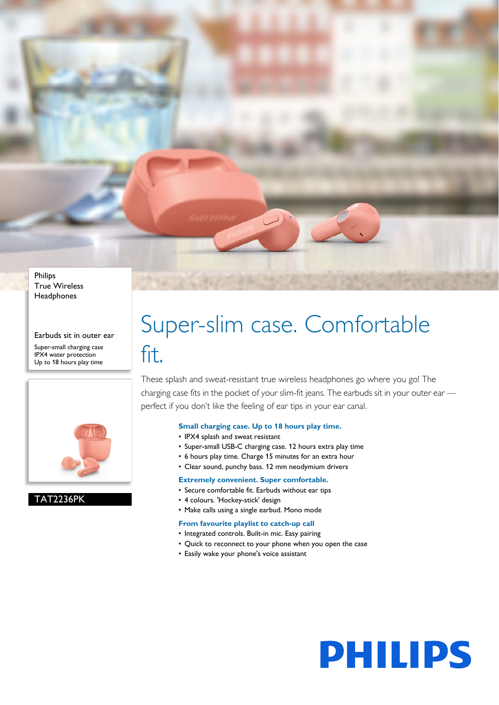Philips True Wireless **Headphones** 

Earbuds sit in outer ear

Super-small charging case IPX4 water protection Up to 18 hours play time



TAT2236PK

# Super-slim case. Comfortable fit.

These splash and sweat-resistant true wireless headphones go where you go! The charging case fits in the pocket of your slim-fit jeans. The earbuds sit in your outer ear perfect if you don't like the feeling of ear tips in your ear canal.

#### **Small charging case. Up to 18 hours play time.**

- IPX4 splash and sweat resistant
- Super-small USB-C charging case. 12 hours extra play time
- 6 hours play time. Charge 15 minutes for an extra hour
- Clear sound, punchy bass. 12 mm neodymium drivers

### **Extremely convenient. Super comfortable.**

- Secure comfortable fit. Earbuds without ear tips
- 4 colours. 'Hockey-stick' design
- Make calls using a single earbud. Mono mode

#### **From favourite playlist to catch-up call**

- Integrated controls. Built-in mic. Easy pairing
- Quick to reconnect to your phone when you open the case

**PHILIPS** 

• Easily wake your phone's voice assistant